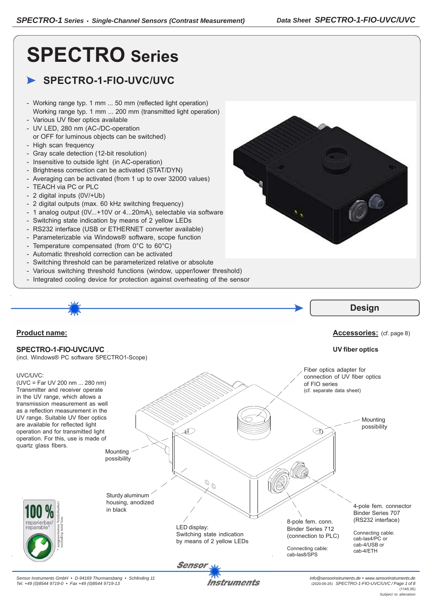# **SPECTRO Series**

# **SPECTRO-1-FIO-UVC/UVC**

- Working range typ. 1 mm ... 50 mm (reflected light operation) Working range typ. 1 mm ... 200 mm (transmitted light operation)
- Various UV fiber optics available
- UV LED, 280 nm (AC-/DC-operation or OFF for luminous objects can be switched)
- High scan frequency
- Gray scale detection (12-bit resolution)
- Insensitive to outside light (in AC-operation)
- Brightness correction can be activated (STAT/DYN)
- Averaging can be activated (from 1 up to over 32000 values)
- TEACH via PC or PLC
- 2 digital inputs (0V/+Ub)
- 2 digital outputs (max. 60 kHz switching frequency)
- 1 analog output (0V...+10V or 4...20mA), selectable via software
- Switching state indication by means of 2 yellow LEDs
- RS232 interface (USB or ETHERNET converter available)
- Parameterizable via Windows® software, scope function
- Temperature compensated (from 0°C to 60°C)
- Automatic threshold correction can be activated
- Switching threshold can be parameterized relative or absolute
- Various switching threshold functions (window, upper/lower threshold)
- Integrated cooling device for protection against overheating of the sensor

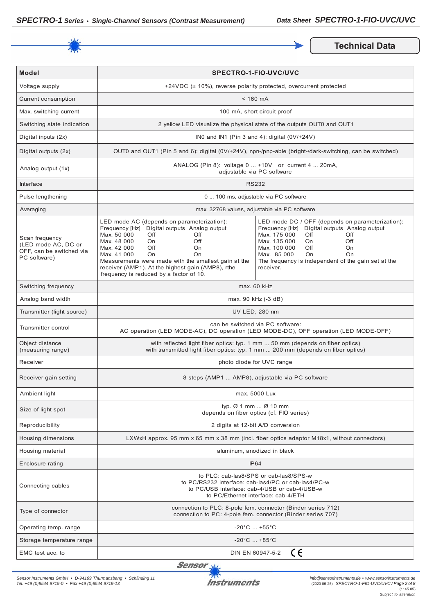

**Technical Data** 

| <b>Model</b>                                                                      | SPECTRO-1-FIO-UVC/UVC                                                                                                                                                                                                                                                                                                                                               |                                                                                                                                                                                                                                                                                                                      |
|-----------------------------------------------------------------------------------|---------------------------------------------------------------------------------------------------------------------------------------------------------------------------------------------------------------------------------------------------------------------------------------------------------------------------------------------------------------------|----------------------------------------------------------------------------------------------------------------------------------------------------------------------------------------------------------------------------------------------------------------------------------------------------------------------|
| Voltage supply                                                                    | +24VDC (± 10%), reverse polarity protected, overcurrent protected                                                                                                                                                                                                                                                                                                   |                                                                                                                                                                                                                                                                                                                      |
| Current consumption                                                               | $< 160$ mA                                                                                                                                                                                                                                                                                                                                                          |                                                                                                                                                                                                                                                                                                                      |
| Max. switching current                                                            | 100 mA, short circuit proof                                                                                                                                                                                                                                                                                                                                         |                                                                                                                                                                                                                                                                                                                      |
| Switching state indication                                                        | 2 yellow LED visualize the physical state of the outputs OUT0 and OUT1                                                                                                                                                                                                                                                                                              |                                                                                                                                                                                                                                                                                                                      |
| Digital inputs (2x)                                                               | INO and IN1 (Pin 3 and 4): digital (0V/+24V)                                                                                                                                                                                                                                                                                                                        |                                                                                                                                                                                                                                                                                                                      |
| Digital outputs (2x)                                                              | OUT0 and OUT1 (Pin 5 and 6): digital (0V/+24V), npn-/pnp-able (bright-/dark-switching, can be switched)                                                                                                                                                                                                                                                             |                                                                                                                                                                                                                                                                                                                      |
| Analog output (1x)                                                                | ANALOG (Pin 8): voltage 0  +10V or current 4  20mA,<br>adjustable via PC software                                                                                                                                                                                                                                                                                   |                                                                                                                                                                                                                                                                                                                      |
| Interface                                                                         | <b>RS232</b>                                                                                                                                                                                                                                                                                                                                                        |                                                                                                                                                                                                                                                                                                                      |
| Pulse lengthening                                                                 | 0  100 ms, adjustable via PC software                                                                                                                                                                                                                                                                                                                               |                                                                                                                                                                                                                                                                                                                      |
| Averaging                                                                         | max. 32768 values, adjustable via PC software                                                                                                                                                                                                                                                                                                                       |                                                                                                                                                                                                                                                                                                                      |
| Scan frequency<br>(LED mode AC, DC or<br>OFF, can be switched via<br>PC software) | LED mode AC (depends on parameterization):<br>Frequency [Hz] Digital outputs Analog output<br>Max. 50 000<br>Off<br>Off<br>Max. 48 000<br>Off<br>On<br>Max. 42 000<br>Off<br>On<br>Max. 41 000<br>On.<br>On<br>Measurements were made with the smallest gain at the<br>receiver (AMP1). At the highest gain (AMP8), rthe<br>frequency is reduced by a factor of 10. | LED mode DC / OFF (depends on parameterization):<br>Digital outputs Analog output<br>Frequency [Hz]<br>Max. 175 000<br>Off<br>Off<br>Max. 135 000<br>Off<br>On<br>Max. 100 000<br>Off<br><b>On</b><br>Max. 85 000<br><b>On</b><br>O <sub>n</sub><br>The frequency is independent of the gain set at the<br>receiver. |
| Switching frequency                                                               | max. 60 kHz                                                                                                                                                                                                                                                                                                                                                         |                                                                                                                                                                                                                                                                                                                      |
| Analog band width                                                                 | max. 90 kHz (-3 dB)                                                                                                                                                                                                                                                                                                                                                 |                                                                                                                                                                                                                                                                                                                      |
| Transmitter (light source)                                                        | UV LED, 280 nm                                                                                                                                                                                                                                                                                                                                                      |                                                                                                                                                                                                                                                                                                                      |
| <b>Transmitter control</b>                                                        | can be switched via PC software:<br>AC operation (LED MODE-AC), DC operation (LED MODE-DC), OFF operation (LED MODE-OFF)                                                                                                                                                                                                                                            |                                                                                                                                                                                                                                                                                                                      |
| Object distance<br>(measuring range)                                              | with reflected light fiber optics: typ. 1 mm  50 mm (depends on fiber optics)<br>with transmitted light fiber optics: typ. 1 mm  200 mm (depends on fiber optics)                                                                                                                                                                                                   |                                                                                                                                                                                                                                                                                                                      |
| Receiver                                                                          | photo diode for UVC range                                                                                                                                                                                                                                                                                                                                           |                                                                                                                                                                                                                                                                                                                      |
| Receiver gain setting                                                             | 8 steps (AMP1  AMP8), adjustable via PC software                                                                                                                                                                                                                                                                                                                    |                                                                                                                                                                                                                                                                                                                      |
| Ambient light                                                                     | max. 5000 Lux                                                                                                                                                                                                                                                                                                                                                       |                                                                                                                                                                                                                                                                                                                      |
| Size of light spot                                                                | typ. $\varnothing$ 1 mm $\varnothing$ 10 mm<br>depends on fiber optics (cf. FIO series)                                                                                                                                                                                                                                                                             |                                                                                                                                                                                                                                                                                                                      |
| Reproducibility                                                                   | 2 digits at 12-bit A/D conversion                                                                                                                                                                                                                                                                                                                                   |                                                                                                                                                                                                                                                                                                                      |
| Housing dimensions                                                                | LXWxH approx. 95 mm x 65 mm x 38 mm (incl. fiber optics adaptor M18x1, without connectors)                                                                                                                                                                                                                                                                          |                                                                                                                                                                                                                                                                                                                      |
| Housing material                                                                  | aluminum, anodized in black                                                                                                                                                                                                                                                                                                                                         |                                                                                                                                                                                                                                                                                                                      |
| Enclosure rating                                                                  | <b>IP64</b>                                                                                                                                                                                                                                                                                                                                                         |                                                                                                                                                                                                                                                                                                                      |
| Connecting cables                                                                 | to PLC: cab-las8/SPS or cab-las8/SPS-w<br>to PC/RS232 interface: cab-las4/PC or cab-las4/PC-w<br>to PC/USB interface: cab-4/USB or cab-4/USB-w<br>to PC/Ethernet interface: cab-4/ETH                                                                                                                                                                               |                                                                                                                                                                                                                                                                                                                      |
| Type of connector                                                                 | connection to PLC: 8-pole fem. connector (Binder series 712)<br>connection to PC: 4-pole fem. connector (Binder series 707)                                                                                                                                                                                                                                         |                                                                                                                                                                                                                                                                                                                      |
| Operating temp. range                                                             | $-20^{\circ}$ C  +55 $^{\circ}$ C                                                                                                                                                                                                                                                                                                                                   |                                                                                                                                                                                                                                                                                                                      |
| Storage temperature range                                                         | $-20^{\circ}$ C  +85 $^{\circ}$ C                                                                                                                                                                                                                                                                                                                                   |                                                                                                                                                                                                                                                                                                                      |
| EMC test acc. to                                                                  | ce<br>DIN EN 60947-5-2                                                                                                                                                                                                                                                                                                                                              |                                                                                                                                                                                                                                                                                                                      |

Sensor<sub>N</sub>

*Sensor Instruments GmbH • D-94169 Thurmansbang • Schlinding 11 Tel. +49 (0)8544 9719-0 • Fax +49 (0)8544 9719-13*

**Instruments**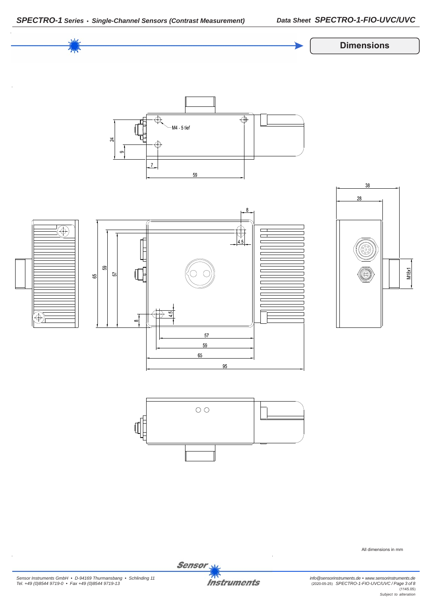



All dimensions in mm

*Sensor Instruments GmbH • D-94169 Thurmansbang • Schlinding 11 Tel. +49 (0)8544 9719-0 • Fax +49 (0)8544 9719-13*

**Instruments** 

Sensor<sub>N</sub>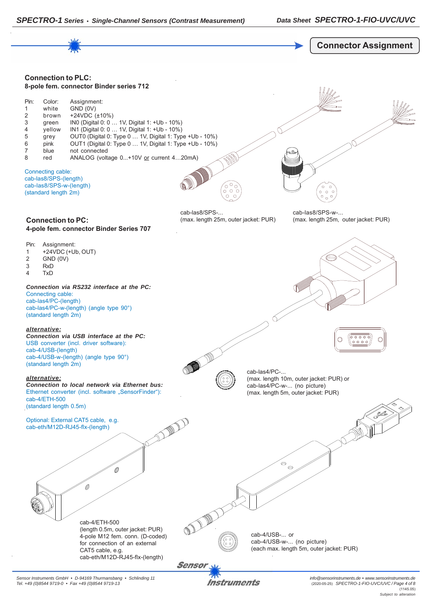

*Sensor Instruments GmbH • D-94169 Thurmansbang • Schlinding 11 Tel. +49 (0)8544 9719-0 • Fax +49 (0)8544 9719-13*

Instruments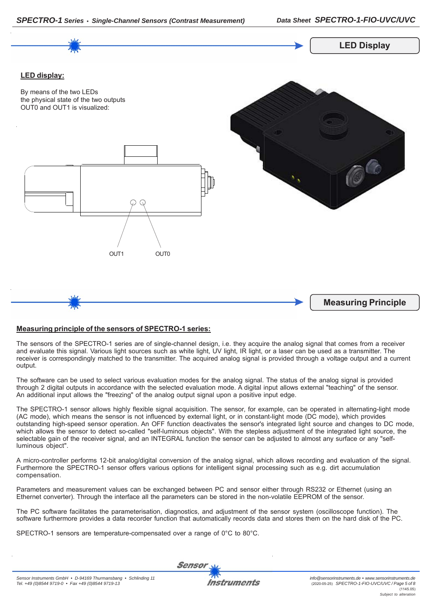



# **Measuring principle of the sensors of SPECTRO-1 series:**

The sensors of the SPECTRO-1 series are of single-channel design, i.e. they acquire the analog signal that comes from a receiver and evaluate this signal. Various light sources such as white light, UV light, IR light, or a laser can be used as a transmitter. The receiver is correspondingly matched to the transmitter. The acquired analog signal is provided through a voltage output and a current output.

The software can be used to select various evaluation modes for the analog signal. The status of the analog signal is provided through 2 digital outputs in accordance with the selected evaluation mode. A digital input allows external "teaching" of the sensor. An additional input allows the "freezing" of the analog output signal upon a positive input edge.

The SPECTRO-1 sensor allows highly flexible signal acquisition. The sensor, for example, can be operated in alternating-light mode (AC mode), which means the sensor is not influenced by external light, or in constant-light mode (DC mode), which provides outstanding high-speed sensor operation. An OFF function deactivates the sensor's integrated light source and changes to DC mode, which allows the sensor to detect so-called "self-luminous objects". With the stepless adjustment of the integrated light source, the selectable gain of the receiver signal, and an INTEGRAL function the sensor can be adjusted to almost any surface or any "selfluminous object".

A micro-controller performs 12-bit analog/digital conversion of the analog signal, which allows recording and evaluation of the signal. Furthermore the SPECTRO-1 sensor offers various options for intelligent signal processing such as e.g. dirt accumulation compensation.

Parameters and measurement values can be exchanged between PC and sensor either through RS232 or Ethernet (using an Ethernet converter). Through the interface all the parameters can be stored in the non-volatile EEPROM of the sensor.

The PC software facilitates the parameterisation, diagnostics, and adjustment of the sensor system (oscilloscope function). The software furthermore provides a data recorder function that automatically records data and stores them on the hard disk of the PC.

SPECTRO-1 sensors are temperature-compensated over a range of 0°C to 80°C.

**Sensor**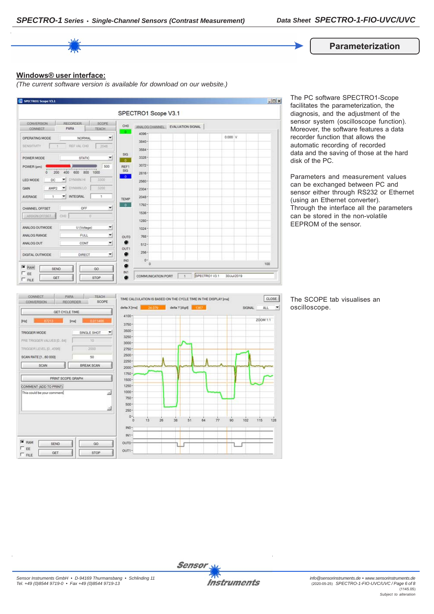**Parameterization**

# **Windows® user interface:**

*(The current software version is available for download on our website.)*



The PC software SPECTRO1-Scope facilitates the parameterization, the diagnosis, and the adjustment of the sensor system (oscilloscope function). Moreover, the software features a data recorder function that allows the automatic recording of recorded data and the saving of those at the hard disk of the PC.

Parameters and measurement values can be exchanged between PC and sensor either through RS232 or Ethernet (using an Ethernet converter). Through the interface all the parameters can be stored in the non-volatile EEPROM of the sensor.



The SCOPE tab visualises an oscilloscope.

 $\left| \cdot \right|$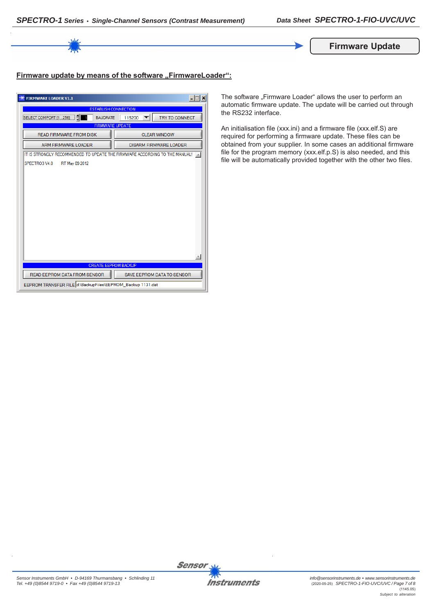

# **Firmware update by means of the software "FirmwareLoader":**

| $ \Box$ $\times$<br><b>FIRMWARE LOADER V1.1</b>                            |                               |  |  |
|----------------------------------------------------------------------------|-------------------------------|--|--|
| <b>ESTABLISH CONNECTION</b>                                                |                               |  |  |
| SELECT COMPORT [1256]<br><b>BAUDRATE</b>                                   | TRY TO CONNECT<br>115200      |  |  |
| <b>FIRMWARE UPDATE</b>                                                     |                               |  |  |
| <b>READ FIRMWARE FROM DISK</b>                                             | <b>CLEAR WINDOW</b>           |  |  |
| <b>ARM FIRMWARE LOADER</b>                                                 | <b>DISARM FIRMWARE LOADER</b> |  |  |
| IT IS STRONGLY RECOMMENDED TO UPDATE THE FIRMWARE ACCORDING TO THE MANUAL! |                               |  |  |
| SPECTRO3 V4.0<br>RT May 09 2012                                            |                               |  |  |
|                                                                            |                               |  |  |
|                                                                            |                               |  |  |
|                                                                            |                               |  |  |
|                                                                            |                               |  |  |
|                                                                            |                               |  |  |
|                                                                            |                               |  |  |
|                                                                            |                               |  |  |
|                                                                            |                               |  |  |
|                                                                            |                               |  |  |
|                                                                            |                               |  |  |
|                                                                            |                               |  |  |
| <b>CREATE EEPROM BACKUP</b>                                                |                               |  |  |
| READ EEPROM DATA FROM SENSOR                                               | SAVE EEPROM DATA TO SENSOR    |  |  |
| EEPROM TRANSFER FILE d:\BackupFiles\EEPROM_Backup 1131.dat                 |                               |  |  |

The software "Firmware Loader" allows the user to perform an automatic firmware update. The update will be carried out through the RS232 interface.

An initialisation file (xxx.ini) and a firmware file (xxx.elf.S) are required for performing a firmware update. These files can be obtained from your supplier. In some cases an additional firmware file for the program memory (xxx.elf.p.S) is also needed, and this file will be automatically provided together with the other two files.





**Sensor**